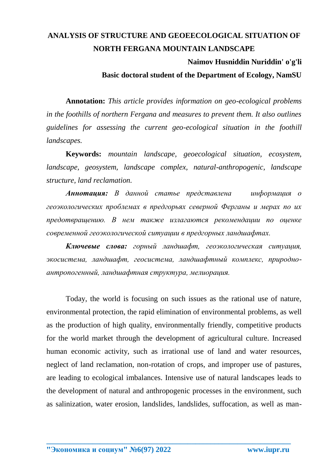## **ANALYSIS OF STRUCTURE AND GEOEECOLOGICAL SITUATION OF NORTH FERGANA MOUNTAIN LANDSCAPE**

## **Naimov Husniddin Nuriddin' o'g'li**

**Basic doctoral student of the Department of Ecology, NamSU**

**Annotation:** *This article provides information on geo-ecological problems in the foothills of northern Fergana and measures to prevent them. It also outlines guidelines for assessing the current geo-ecological situation in the foothill landscapes.*

**Keywords:** *mountain landscape, geoecological situation, ecosystem, landscape, geosystem, landscape complex, natural-anthropogenic, landscape structure, land reclamation.*

*Аннотация: В данной статье представлена информация о геоэкологических проблемах в предгорьях северной Ферганы и мерах по их предотвращению. В нем также излагаются рекомендации по оценке современной геоэкологической ситуации в предгорных ландшафтах.*

*Ключевые слова: горный ландшафт, геоэкологическая ситуация, экосистема, ландшафт, геосистема, ландшафтный комплекс, природноантропогенный, ландшафтная структура, мелиорация.*

Today, the world is focusing on such issues as the rational use of nature, environmental protection, the rapid elimination of environmental problems, as well as the production of high quality, environmentally friendly, competitive products for the world market through the development of agricultural culture. Increased human economic activity, such as irrational use of land and water resources, neglect of land reclamation, non-rotation of crops, and improper use of pastures, are leading to ecological imbalances. Intensive use of natural landscapes leads to the development of natural and anthropogenic processes in the environment, such as salinization, water erosion, landslides, landslides, suffocation, as well as man-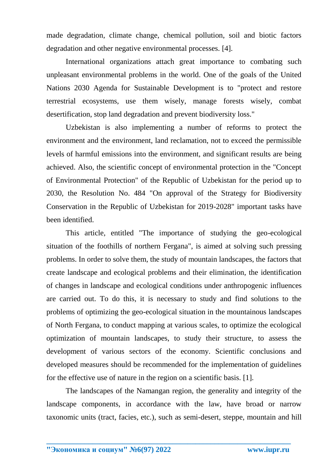made degradation, climate change, chemical pollution, soil and biotic factors degradation and other negative environmental processes. [4].

International organizations attach great importance to combating such unpleasant environmental problems in the world. One of the goals of the United Nations 2030 Agenda for Sustainable Development is to "protect and restore terrestrial ecosystems, use them wisely, manage forests wisely, combat desertification, stop land degradation and prevent biodiversity loss."

Uzbekistan is also implementing a number of reforms to protect the environment and the environment, land reclamation, not to exceed the permissible levels of harmful emissions into the environment, and significant results are being achieved. Also, the scientific concept of environmental protection in the "Concept of Environmental Protection" of the Republic of Uzbekistan for the period up to 2030, the Resolution No. 484 "On approval of the Strategy for Biodiversity Conservation in the Republic of Uzbekistan for 2019-2028" important tasks have been identified.

This article, entitled "The importance of studying the geo-ecological situation of the foothills of northern Fergana", is aimed at solving such pressing problems. In order to solve them, the study of mountain landscapes, the factors that create landscape and ecological problems and their elimination, the identification of changes in landscape and ecological conditions under anthropogenic influences are carried out. To do this, it is necessary to study and find solutions to the problems of optimizing the geo-ecological situation in the mountainous landscapes of North Fergana, to conduct mapping at various scales, to optimize the ecological optimization of mountain landscapes, to study their structure, to assess the development of various sectors of the economy. Scientific conclusions and developed measures should be recommended for the implementation of guidelines for the effective use of nature in the region on a scientific basis. [1].

The landscapes of the Namangan region, the generality and integrity of the landscape components, in accordance with the law, have broad or narrow taxonomic units (tract, facies, etc.), such as semi-desert, steppe, mountain and hill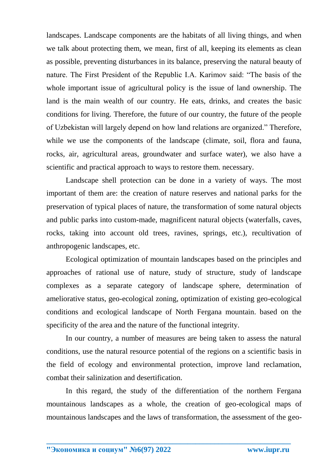landscapes. Landscape components are the habitats of all living things, and when we talk about protecting them, we mean, first of all, keeping its elements as clean as possible, preventing disturbances in its balance, preserving the natural beauty of nature. The First President of the Republic I.A. Karimov said: "The basis of the whole important issue of agricultural policy is the issue of land ownership. The land is the main wealth of our country. He eats, drinks, and creates the basic conditions for living. Therefore, the future of our country, the future of the people of Uzbekistan will largely depend on how land relations are organized." Therefore, while we use the components of the landscape (climate, soil, flora and fauna, rocks, air, agricultural areas, groundwater and surface water), we also have a scientific and practical approach to ways to restore them. necessary.

Landscape shell protection can be done in a variety of ways. The most important of them are: the creation of nature reserves and national parks for the preservation of typical places of nature, the transformation of some natural objects and public parks into custom-made, magnificent natural objects (waterfalls, caves, rocks, taking into account old trees, ravines, springs, etc.), recultivation of anthropogenic landscapes, etc.

Ecological optimization of mountain landscapes based on the principles and approaches of rational use of nature, study of structure, study of landscape complexes as a separate category of landscape sphere, determination of ameliorative status, geo-ecological zoning, optimization of existing geo-ecological conditions and ecological landscape of North Fergana mountain. based on the specificity of the area and the nature of the functional integrity.

In our country, a number of measures are being taken to assess the natural conditions, use the natural resource potential of the regions on a scientific basis in the field of ecology and environmental protection, improve land reclamation, combat their salinization and desertification.

In this regard, the study of the differentiation of the northern Fergana mountainous landscapes as a whole, the creation of geo-ecological maps of mountainous landscapes and the laws of transformation, the assessment of the geo-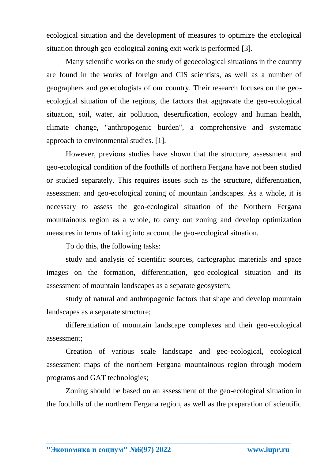ecological situation and the development of measures to optimize the ecological situation through geo-ecological zoning exit work is performed [3].

Many scientific works on the study of geoecological situations in the country are found in the works of foreign and CIS scientists, as well as a number of geographers and geoecologists of our country. Their research focuses on the geoecological situation of the regions, the factors that aggravate the geo-ecological situation, soil, water, air pollution, desertification, ecology and human health, climate change, "anthropogenic burden", a comprehensive and systematic approach to environmental studies. [1].

However, previous studies have shown that the structure, assessment and geo-ecological condition of the foothills of northern Fergana have not been studied or studied separately. This requires issues such as the structure, differentiation, assessment and geo-ecological zoning of mountain landscapes. As a whole, it is necessary to assess the geo-ecological situation of the Northern Fergana mountainous region as a whole, to carry out zoning and develop optimization measures in terms of taking into account the geo-ecological situation.

To do this, the following tasks:

study and analysis of scientific sources, cartographic materials and space images on the formation, differentiation, geo-ecological situation and its assessment of mountain landscapes as a separate geosystem;

study of natural and anthropogenic factors that shape and develop mountain landscapes as a separate structure;

differentiation of mountain landscape complexes and their geo-ecological assessment;

Creation of various scale landscape and geo-ecological, ecological assessment maps of the northern Fergana mountainous region through modern programs and GAT technologies;

Zoning should be based on an assessment of the geo-ecological situation in the foothills of the northern Fergana region, as well as the preparation of scientific